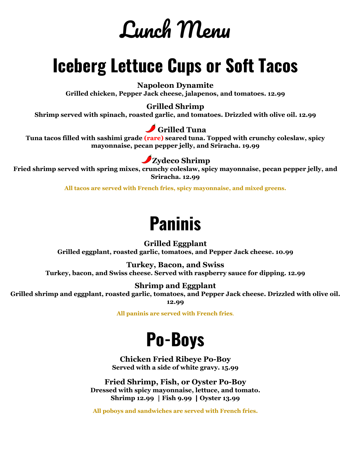# **Lunch Menu**

## **Iceberg Lettuce Cups or Soft Tacos**

**Napoleon Dynamite**

**Grilled chicken, Pepper Jack cheese, jalapenos, and tomatoes. 12.99**

**Grilled Shrimp**

**Shrimp served with spinach, roasted garlic, and tomatoes. Drizzled with olive oil. 12.99**

#### **Grilled Tuna**

**Tuna tacos filled with sashimi grade (rare) seared tuna. Topped with crunchy coleslaw, spicy mayonnaise, pecan pepper jelly, and Sriracha. 19.99**

#### **Zydeco Shrimp**

**Fried shrimp served with spring mixes, crunchy coleslaw, spicy mayonnaise, pecan pepper jelly, and Sriracha. 12.99**

**All tacos are served with French fries, spicy mayonnaise, and mixed greens.**

### **Paninis**

#### **Grilled Eggplant Grilled eggplant, roasted garlic, tomatoes, and Pepper Jack cheese. 10.99**

**Turkey, Bacon, and Swiss Turkey, bacon, and Swiss cheese. Served with raspberry sauce for dipping. 12.99**

#### **Shrimp and Eggplant**

**Grilled shrimp and eggplant, roasted garlic, tomatoes, and Pepper Jack cheese. Drizzled with olive oil. 12.99**

**All paninis are served with French fries**.

### **Po-Boys**

**Chicken Fried Ribeye Po-Boy Served with a side of white gravy. 15.99**

**Fried Shrimp, Fish, or Oyster Po-Boy Dressed with spicy mayonnaise, lettuce, and tomato. Shrimp 12.99** ┃**Fish 9.99** ┃**Oyster 13.99**

**All poboys and sandwiches are served with French fries.**